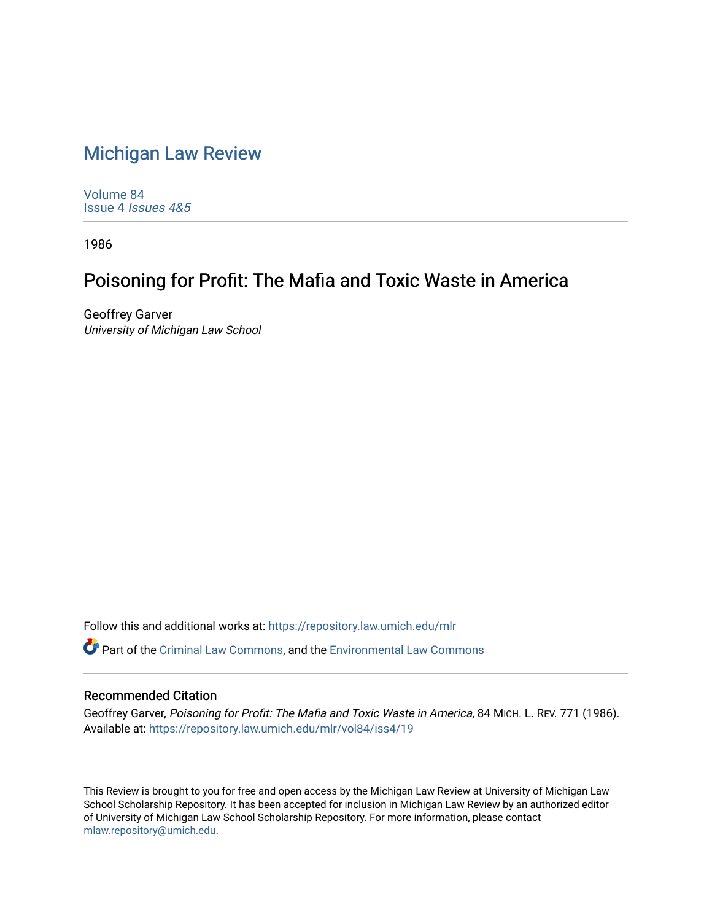## [Michigan Law Review](https://repository.law.umich.edu/mlr)

[Volume 84](https://repository.law.umich.edu/mlr/vol84) Issue 4 [Issues 4&5](https://repository.law.umich.edu/mlr/vol84/iss4) 

1986

## Poisoning for Profit: The Mafia and Toxic Waste in America

Geoffrey Garver University of Michigan Law School

Follow this and additional works at: [https://repository.law.umich.edu/mlr](https://repository.law.umich.edu/mlr?utm_source=repository.law.umich.edu%2Fmlr%2Fvol84%2Fiss4%2F19&utm_medium=PDF&utm_campaign=PDFCoverPages) 

Part of the [Criminal Law Commons,](http://network.bepress.com/hgg/discipline/912?utm_source=repository.law.umich.edu%2Fmlr%2Fvol84%2Fiss4%2F19&utm_medium=PDF&utm_campaign=PDFCoverPages) and the [Environmental Law Commons](http://network.bepress.com/hgg/discipline/599?utm_source=repository.law.umich.edu%2Fmlr%2Fvol84%2Fiss4%2F19&utm_medium=PDF&utm_campaign=PDFCoverPages) 

## Recommended Citation

Geoffrey Garver, Poisoning for Profit: The Mafia and Toxic Waste in America, 84 MICH. L. REV. 771 (1986). Available at: [https://repository.law.umich.edu/mlr/vol84/iss4/19](https://repository.law.umich.edu/mlr/vol84/iss4/19?utm_source=repository.law.umich.edu%2Fmlr%2Fvol84%2Fiss4%2F19&utm_medium=PDF&utm_campaign=PDFCoverPages) 

This Review is brought to you for free and open access by the Michigan Law Review at University of Michigan Law School Scholarship Repository. It has been accepted for inclusion in Michigan Law Review by an authorized editor of University of Michigan Law School Scholarship Repository. For more information, please contact [mlaw.repository@umich.edu.](mailto:mlaw.repository@umich.edu)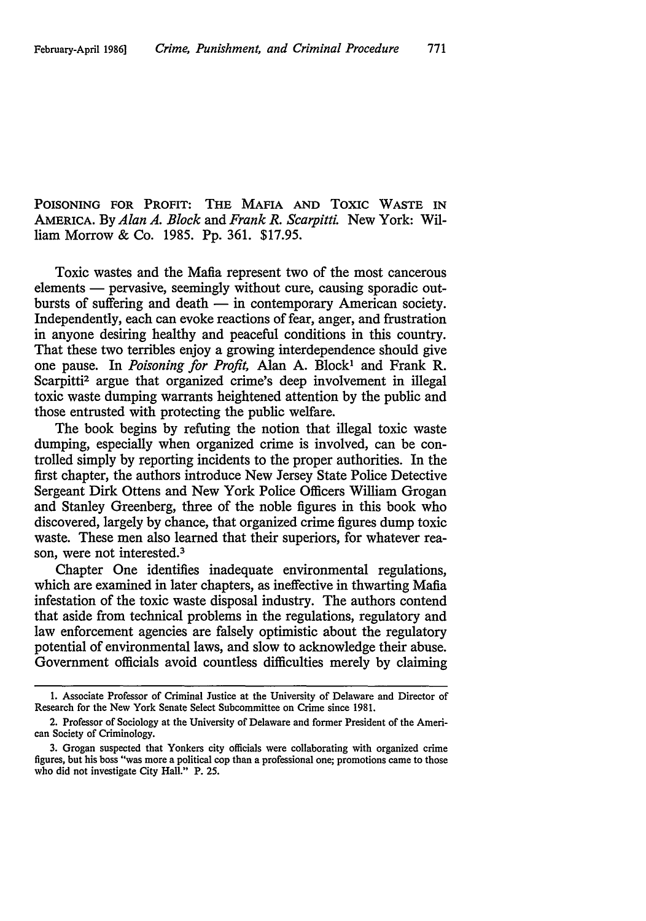POISONING FOR PROFIT: THE MAFIA **AND** TOXIC WASTE IN AMERICA. By *Alan A. Block and Frank R. Scarpitti.* New York: William Morrow & Co. 1985. **Pp.** 361. \$17.95.

Toxic wastes and the Mafia represent two of the most cancerous elements — pervasive, seemingly without cure, causing sporadic outbursts of suffering and death  $-$  in contemporary American society. Independently, each can evoke reactions of fear, anger, and frustration in anyone desiring healthy and peaceful conditions in this country. That these two terribles enjoy a growing interdependence should give one pause. In *Poisoning for Profit,* Alan A. Block1 and Frank R. Scarpitti<sup>2</sup> argue that organized crime's deep involvement in illegal toxic waste dumping warrants heightened attention by the public and those entrusted with protecting the public welfare.

The book begins by refuting the notion that illegal toxic waste dumping, especially when organized crime is involved, can be controlled simply by reporting incidents to the proper authorities. In the first chapter, the authors introduce New Jersey State Police Detective Sergeant Dirk Ottens and New York Police Officers William Grogan and Stanley Greenberg, three of the noble figures in this book who discovered, largely by chance, that organized crime figures dump toxic waste. These men also learned that their superiors, for whatever reason, were not interested. <sup>3</sup>

Chapter One identifies inadequate environmental regulations, which are examined in later chapters, as ineffective in thwarting Mafia infestation of the toxic waste disposal industry. The authors contend that aside from technical problems in the regulations, regulatory and law enforcement agencies are falsely optimistic about the regulatory potential of environmental laws, and slow to acknowledge their abuse. Government officials avoid countless difficulties merely by claiming

<sup>1.</sup> Associate Professor of Criminal Justice at the University of Delaware and Director of Research for the New York Senate Select Subcommittee on Crime since 1981.

<sup>2.</sup> Professor of Sociology at the University of Delaware and former President of the American Society of Criminology.

<sup>3.</sup> Grogan suspected that Yonkers city officials were collaborating with organized crime figures, but his boss "was more a political cop than a professional one; promotions came to those who did not investigate City Hall." P. 25.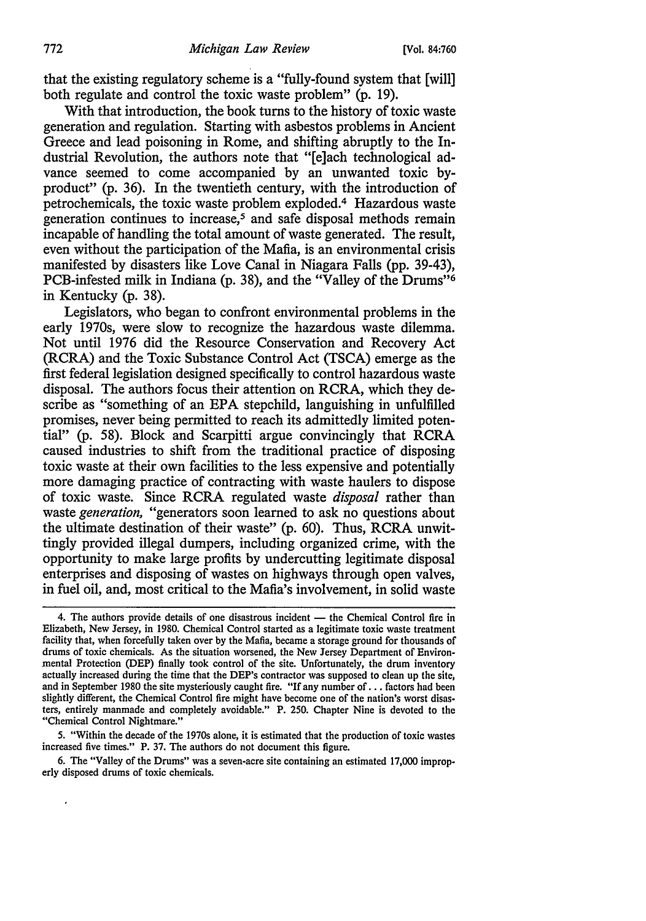that the existing regulatory scheme is a "fully-found system that [will] both regulate and control the toxic waste problem" (p. 19).

With that introduction, the book turns to the history of toxic waste generation and regulation. Starting with asbestos problems in Ancient Greece and lead poisoning in Rome, and shifting abruptly to the Industrial Revolution, the authors note that "[e]ach technological advance seemed to come accompanied by an unwanted toxic byproduct" (p. 36). In the twentieth century, with the introduction of petrochemicals, the toxic waste problem exploded.4 Hazardous waste generation continues to increase,<sup>5</sup> and safe disposal methods remain incapable of handling the total amount of waste generated. The result, even without the participation of the Mafia, is an environmental crisis manifested by disasters like Love Canal in Niagara Falls (pp. 39-43), PCB-infested milk in Indiana (p. 38), and the "Valley of the Drums"<sup>6</sup> in Kentucky (p. 38).

Legislators, who began to confront environmental problems in the early 1970s, were slow to recognize the hazardous waste dilemma. Not until 1976 did the Resource Conservation and Recovery Act (RCRA) and the Toxic Substance Control Act (TSCA) emerge as the first federal legislation designed specifically to control hazardous waste disposal. The authors focus their attention on RCRA, which they describe as "something of an EPA stepchild, languishing in unfulfilled promises, never being permitted to reach its admittedly limited potential" (p. 58). Block and Scarpitti argue convincingly that RCRA caused industries to shift from the traditional practice of disposing toxic waste at their own facilities to the less expensive and potentially more damaging practice of contracting with waste haulers to dispose of toxic waste. Since RCRA regulated waste *disposal* rather than waste *generation,* "generators soon learned to ask no questions about the ultimate destination of their waste" **(p.** 60). Thus, RCRA unwittingly provided illegal dumpers, including organized crime, with the opportunity to make large profits by undercutting legitimate disposal enterprises and disposing of wastes on highways through open valves, in fuel oil, and, most critical to the Mafia's involvement, in solid waste

5. "Within the decade of the 1970s alone, it is estimated that the production of toxic wastes increased five times." P. 37. The authors do not document this figure.

6. The "Valley of the Drums" was a seven-acre site containing an estimated 17,000 improperly disposed drums of toxic chemicals.

<sup>4.</sup> The authors provide details of one disastrous incident  $-$  the Chemical Control fire in Elizabeth, New Jersey, in 1980. Chemical Control started as a legitimate toxic waste treatment facility that, when forcefully taken over by the Mafia, became a storage ground for thousands of drums of toxic chemicals. As the situation worsened, the New Jersey Department of Environmental Protection (DEP) finally took control of the site. Unfortunately, the drum inventory actually increased during the time that the DEP's contractor was supposed to clean up the site, and in September 1980 the site mysteriously caught fire. "If any number of... factors had been slightly different, the Chemical Control fire might have become one of the nation's worst disasters, entirely manmade and completely avoidable." P. 250. Chapter Nine is devoted to the "Chemical Control Nightmare."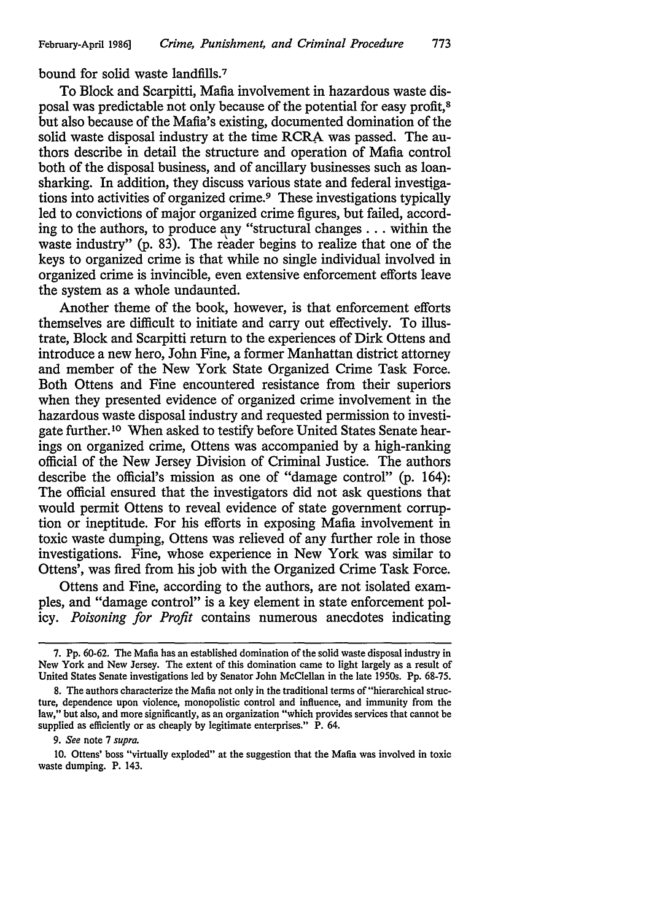bound for solid waste landfills.<sup>7</sup>

To Block and Scarpitti, Mafia involvement in hazardous waste disposal was predictable not only because of the potential for easy profit,8 but also because of the Mafia's existing, documented domination of the solid waste disposal industry at the time RCRA was passed. The authors describe in detail the structure and operation of Mafia control both of the disposal business, and of ancillary businesses such as loansharking. In addition, they discuss various state and federal investigations into activities of organized crime. 9 These investigations typically led to convictions of major organized crime figures, but failed, according to the authors, to produce any "structural changes **...** within the waste industry" (p. 83). The reader begins to realize that one of the keys to organized crime is that while no single individual involved in organized crime is invincible, even extensive enforcement efforts leave the system as a whole undaunted.

Another theme of the book, however, is that enforcement efforts themselves are difficult to initiate and carry out effectively. To illustrate, Block and Scarpitti return to the experiences of Dirk Ottens and introduce a new hero, John Fine, a former Manhattan district attorney and member of the New York State Organized Crime Task Force. Both Ottens and Fine encountered resistance from their superiors when they presented evidence of organized crime involvement in the hazardous waste disposal industry and requested permission to investigate further.10 When asked to testify before United States Senate hearings on organized crime, Ottens was accompanied by a high-ranking official of the New Jersey Division of Criminal Justice. The authors describe the official's mission as one of "damage control" (p. 164): The official ensured that the investigators did not ask questions that would permit Ottens to reveal evidence of state government corruption or ineptitude. For his efforts in exposing Mafia involvement in toxic waste dumping, Ottens was relieved of any further role in those investigations. Fine, whose experience in New York was similar to Ottens', was fired from his job with the Organized Crime Task Force.

Ottens and Fine, according to the authors, are not isolated examples, and "damage control" is a key element in state enforcement policy. *Poisoning for Profit* contains numerous anecdotes indicating

*9. See* note 7 *supra.*

10. Ottens' boss "virtually exploded" at the suggestion that the Mafia was involved in toxic waste dumping. P. 143.

<sup>7.</sup> Pp. 60-62. The Mafia has an established domination of the solid waste disposal industry in New York and New Jersey. The extent of this domination came to light largely as a result of United States Senate investigations led by Senator John McClellan in the late 1950s. Pp. 68-75.

<sup>8.</sup> The authors characterize the Mafia not only in the traditional terms of "hierarchical structure, dependence upon violence, monopolistic control and influence, and immunity from the law," but also, and more significantly, as an organization "which provides services that cannot be supplied as efficiently or as cheaply by legitimate enterprises." P. 64.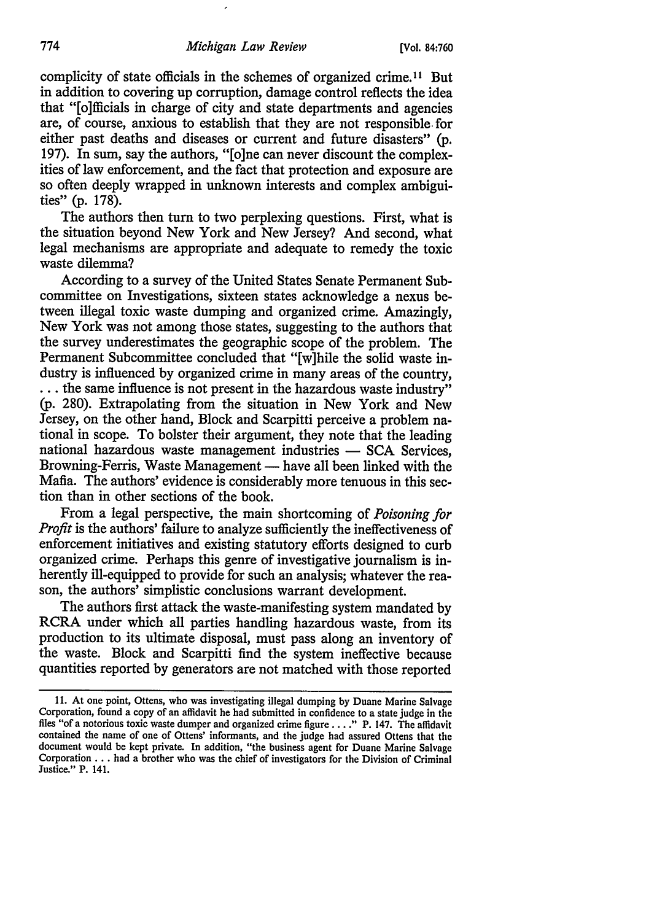complicity of state officials in the schemes of organized crime.<sup>11</sup> But in addition to covering up corruption, damage control reflects the idea that "[o]fficials in charge of city and state departments and agencies are, of course, anxious to establish that they are not responsible, for either past deaths and diseases or current and future disasters" (p. 197). In sum, say the authors, "[o]ne can never discount the complexities of law enforcement, and the fact that protection and exposure are so often deeply wrapped in unknown interests and complex ambiguities" **(p.** 178).

The authors then turn to two perplexing questions. First, what is the situation beyond New York and New Jersey? And second, what legal mechanisms are appropriate and adequate to remedy the toxic waste dilemma?

According to a survey of the United States Senate Permanent Subcommittee on Investigations, sixteen states acknowledge a nexus between illegal toxic waste dumping and organized crime. Amazingly, New York was not among those states, suggesting to the authors that the survey underestimates the geographic scope of the problem. The Permanent Subcommittee concluded that "[w]hile the solid waste in-<br>dustry is influenced by organized crime in many areas of the country.  $\dots$  the same influence is not present in the hazardous waste industry" (p. 280). Extrapolating from the situation in New York and New Jersey, on the other hand, Block and Scarpitti perceive a problem national in scope. To bolster their argument, they note that the leading national hazardous waste management industries - SCA Services. Browning-Ferris, Waste Management - have all been linked with the Mafia. The authors' evidence is considerably more tenuous in this section than in other sections of the book.

From a legal perspective, the main shortcoming of *Poisoning for Profit* is the authors' failure to analyze sufficiently the ineffectiveness of enforcement initiatives and existing statutory efforts designed to curb organized crime. Perhaps this genre of investigative journalism is inherently ill-equipped to provide for such an analysis; whatever the reason, the authors' simplistic conclusions warrant development.

The authors first attack the waste-manifesting system mandated by RCRA under which all parties handling hazardous waste, from its production to its ultimate disposal, must pass along an inventory of the waste. Block and Scarpitti find the system ineffective because quantities reported by generators are not matched with those reported

**<sup>11.</sup>** At one point, Ottens, who was investigating illegal dumping by Duane Marine Salvage Corporation, found a copy of an affidavit he had submitted in confidence to a state judge in the files "of a notorious toxic waste dumper and organized crime figure **.. "** P. 147. The affidavit contained the name of one of Ottens' informants, and the judge had assured Ottens that the document would be kept private. In addition, "the business agent for Duane Marine Salvage Corporation... had a brother who was the chief of investigators for the Division of Criminal Justice." P. 141.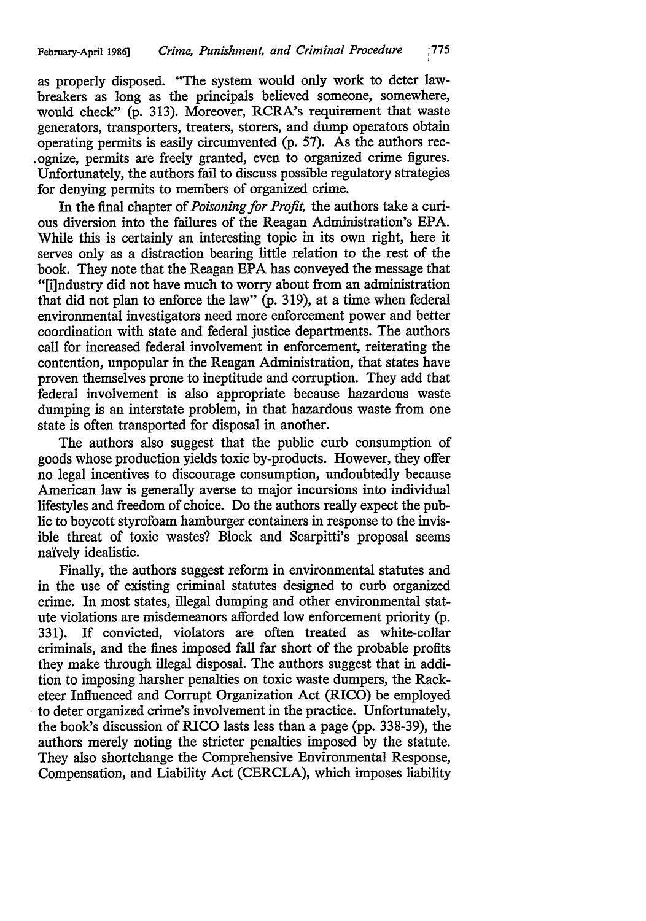as properly disposed. "The system would only work to deter lawbreakers as long as the principals believed someone, somewhere, would check" (p. 313). Moreover, RCRA's requirement that waste generators, transporters, treaters, storers, and dump operators obtain operating permits is easily circumvented **(p.** 57). As the authors rec- .ognize, permits are freely granted, even to organized crime figures. Unfortunately, the authors fail to discuss possible regulatory strategies for denying permits to members of organized crime.

In the final chapter of *Poisoning for Profit,* the authors take a curious diversion into the failures of the Reagan Administration's EPA. While this is certainly an interesting topic in its own right, here it serves only as a distraction bearing little relation to the rest of the book. They note that the Reagan EPA has conveyed the message that "[i]ndustry did not have much to worry about from an administration that did not plan to enforce the law" (p. 319), at a time when federal environmental investigators need more enforcement power and better coordination with state and federal justice departments. The authors call for increased federal involvement in enforcement, reiterating the contention, unpopular in the Reagan Administration, that states have proven themselves prone to ineptitude and corruption. They add that federal involvement is also appropriate because hazardous waste dumping is an interstate problem, in that hazardous waste from one state is often transported for disposal in another.

The authors also suggest that the public curb consumption of goods whose production yields toxic by-products. However, they offer no legal incentives to discourage consumption, undoubtedly because American law is generally averse to major incursions into individual lifestyles and freedom of choice. Do the authors really expect the public to boycott styrofoam hamburger containers in response to the invisible threat of toxic wastes? Block and Scarpitti's proposal seems naively idealistic.

Finally, the authors suggest reform in environmental statutes and in the use of existing criminal statutes designed to curb organized crime. In most states, illegal dumping and other environmental statute violations are misdemeanors afforded low enforcement priority (p. 331). If convicted, violators are often treated as white-collar criminals, and the fines imposed fall far short of the probable profits they make through illegal disposal. The authors suggest that in addition to imposing harsher penalties on toxic waste dumpers, the Racketeer Influenced and Corrupt Organization Act (RICO) be employed to deter organized crime's involvement in the practice. Unfortunately, the book's discussion of RICO lasts less than a page (pp. 338-39), the authors merely noting the stricter penalties imposed by the statute. They also shortchange the Comprehensive Environmental Response, Compensation, and Liability Act (CERCLA), which imposes liability